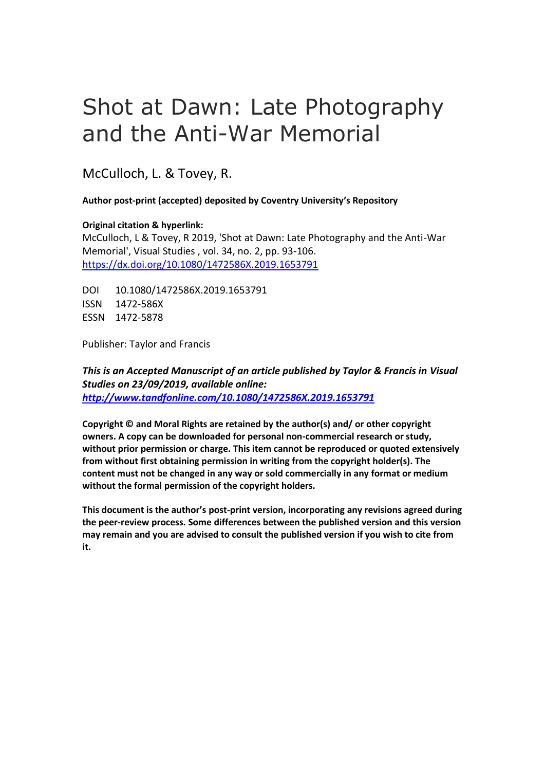# Shot at Dawn: Late Photography and the Anti-War Memorial

McCulloch, L. & Tovey, R.

**Author post-print (accepted) deposited by Coventry University's Repository**

**Original citation & hyperlink:**

McCulloch, L & Tovey, R 2019, 'Shot at Dawn: Late Photography and the Anti-War Memorial', Visual Studies , vol. 34, no. 2, pp. 93-106. <https://dx.doi.org/10.1080/1472586X.2019.1653791>

DOI 10.1080/1472586X.2019.1653791 ISSN 1472-586X ESSN 1472-5878

Publisher: Taylor and Francis

*This is an Accepted Manuscript of an article published by Taylor & Francis in Visual Studies on 23/09/2019, available online: <http://www.tandfonline.com/10.1080/1472586X.2019.1653791>*

**Copyright © and Moral Rights are retained by the author(s) and/ or other copyright owners. A copy can be downloaded for personal non-commercial research or study, without prior permission or charge. This item cannot be reproduced or quoted extensively from without first obtaining permission in writing from the copyright holder(s). The content must not be changed in any way or sold commercially in any format or medium without the formal permission of the copyright holders.** 

**This document is the author's post-print version, incorporating any revisions agreed during the peer-review process. Some differences between the published version and this version may remain and you are advised to consult the published version if you wish to cite from it.**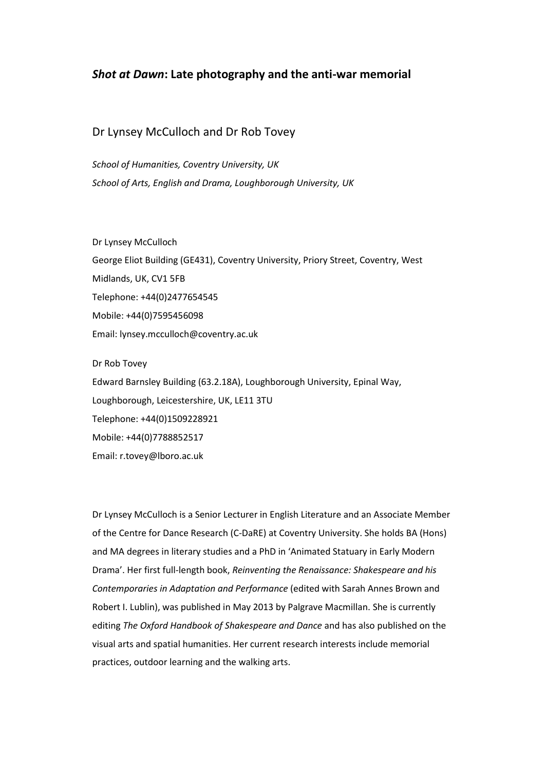# *Shot at Dawn***: Late photography and the anti-war memorial**

## Dr Lynsey McCulloch and Dr Rob Tovey

*School of Humanities, Coventry University, UK School of Arts, English and Drama, Loughborough University, UK*

Dr Lynsey McCulloch

George Eliot Building (GE431), Coventry University, Priory Street, Coventry, West Midlands, UK, CV1 5FB Telephone: +44(0)2477654545 Mobile: +44(0)7595456098 Email: lynsey.mcculloch@coventry.ac.uk

Dr Rob Tovey

Edward Barnsley Building (63.2.18A), Loughborough University, Epinal Way, Loughborough, Leicestershire, UK, LE11 3TU Telephone: +44(0)1509228921

Mobile: +44(0)7788852517

Email: r.tovey@lboro.ac.uk

Dr Lynsey McCulloch is a Senior Lecturer in English Literature and an Associate Member of the Centre for Dance Research (C-DaRE) at Coventry University. She holds BA (Hons) and MA degrees in literary studies and a PhD in 'Animated Statuary in Early Modern Drama'. Her first full-length book, *Reinventing the Renaissance: Shakespeare and his Contemporaries in Adaptation and Performance* (edited with Sarah Annes Brown and Robert I. Lublin), was published in May 2013 by Palgrave Macmillan. She is currently editing *The Oxford Handbook of Shakespeare and Dance* and has also published on the visual arts and spatial humanities. Her current research interests include memorial practices, outdoor learning and the walking arts.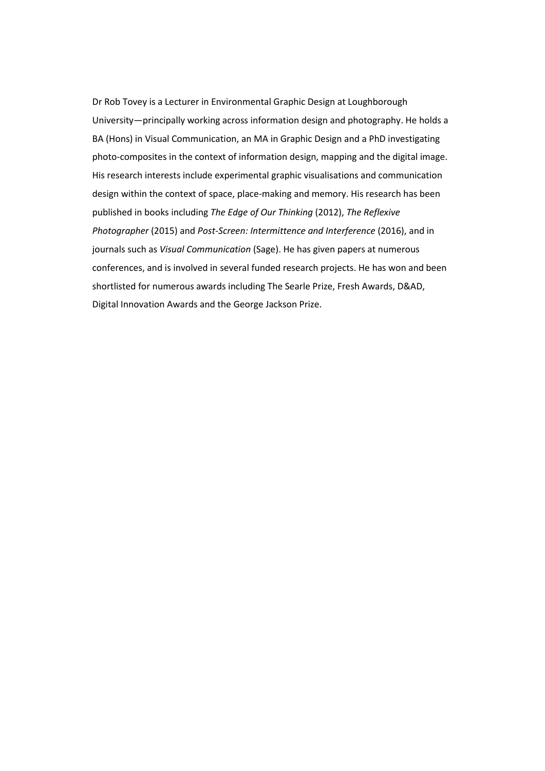Dr Rob Tovey is a Lecturer in Environmental Graphic Design at Loughborough University—principally working across information design and photography. He holds a BA (Hons) in Visual Communication, an MA in Graphic Design and a PhD investigating photo-composites in the context of information design, mapping and the digital image. His research interests include experimental graphic visualisations and communication design within the context of space, place-making and memory. His research has been published in books including *The Edge of Our Thinking* (2012), *The Reflexive Photographer* (2015) and *Post-Screen: Intermittence and Interference* (2016), and in journals such as *Visual Communication* (Sage). He has given papers at numerous conferences, and is involved in several funded research projects. He has won and been shortlisted for numerous awards including The Searle Prize, Fresh Awards, D&AD, Digital Innovation Awards and the George Jackson Prize.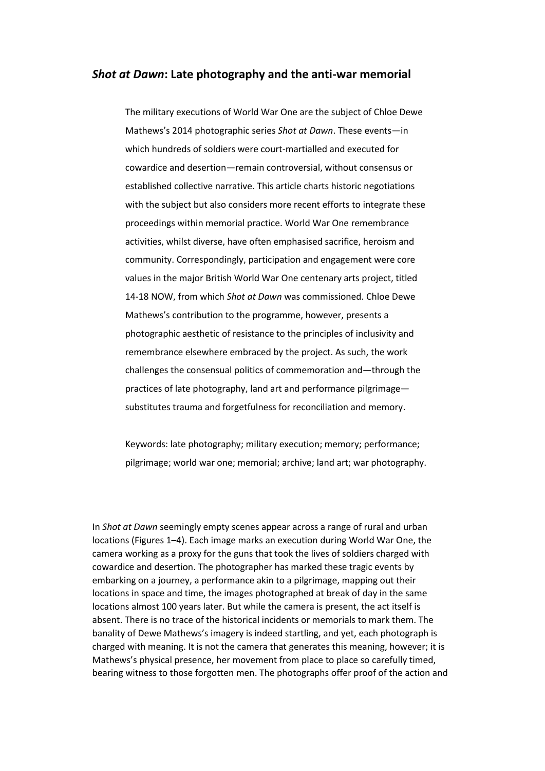## *Shot at Dawn***: Late photography and the anti-war memorial**

The military executions of World War One are the subject of Chloe Dewe Mathews's 2014 photographic series *Shot at Dawn*. These events—in which hundreds of soldiers were court-martialled and executed for cowardice and desertion—remain controversial, without consensus or established collective narrative. This article charts historic negotiations with the subject but also considers more recent efforts to integrate these proceedings within memorial practice. World War One remembrance activities, whilst diverse, have often emphasised sacrifice, heroism and community. Correspondingly, participation and engagement were core values in the major British World War One centenary arts project, titled 14-18 NOW, from which *Shot at Dawn* was commissioned. Chloe Dewe Mathews's contribution to the programme, however, presents a photographic aesthetic of resistance to the principles of inclusivity and remembrance elsewhere embraced by the project. As such, the work challenges the consensual politics of commemoration and—through the practices of late photography, land art and performance pilgrimage substitutes trauma and forgetfulness for reconciliation and memory.

Keywords: late photography; military execution; memory; performance; pilgrimage; world war one; memorial; archive; land art; war photography.

In *Shot at Dawn* seemingly empty scenes appear across a range of rural and urban locations (Figures 1–4). Each image marks an execution during World War One, the camera working as a proxy for the guns that took the lives of soldiers charged with cowardice and desertion. The photographer has marked these tragic events by embarking on a journey, a performance akin to a pilgrimage, mapping out their locations in space and time, the images photographed at break of day in the same locations almost 100 years later. But while the camera is present, the act itself is absent. There is no trace of the historical incidents or memorials to mark them. The banality of Dewe Mathews's imagery is indeed startling, and yet, each photograph is charged with meaning. It is not the camera that generates this meaning, however; it is Mathews's physical presence, her movement from place to place so carefully timed, bearing witness to those forgotten men. The photographs offer proof of the action and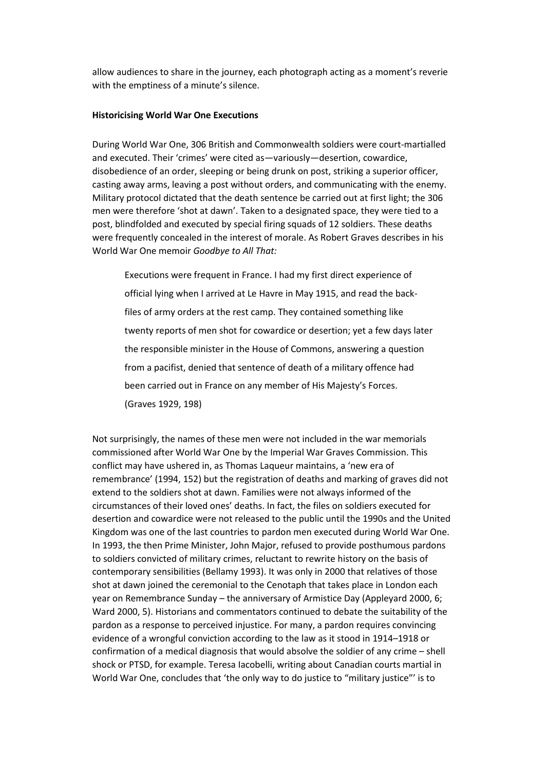allow audiences to share in the journey, each photograph acting as a moment's reverie with the emptiness of a minute's silence.

### **Historicising World War One Executions**

During World War One, 306 British and Commonwealth soldiers were court-martialled and executed. Their 'crimes' were cited as—variously—desertion, cowardice, disobedience of an order, sleeping or being drunk on post, striking a superior officer, casting away arms, leaving a post without orders, and communicating with the enemy. Military protocol dictated that the death sentence be carried out at first light; the 306 men were therefore 'shot at dawn'. Taken to a designated space, they were tied to a post, blindfolded and executed by special firing squads of 12 soldiers. These deaths were frequently concealed in the interest of morale. As Robert Graves describes in his World War One memoir *Goodbye to All That:*

Executions were frequent in France. I had my first direct experience of official lying when I arrived at Le Havre in May 1915, and read the backfiles of army orders at the rest camp. They contained something like twenty reports of men shot for cowardice or desertion; yet a few days later the responsible minister in the House of Commons, answering a question from a pacifist, denied that sentence of death of a military offence had been carried out in France on any member of His Majesty's Forces. (Graves 1929, 198)

Not surprisingly, the names of these men were not included in the war memorials commissioned after World War One by the Imperial War Graves Commission. This conflict may have ushered in, as Thomas Laqueur maintains, a 'new era of remembrance' (1994, 152) but the registration of deaths and marking of graves did not extend to the soldiers shot at dawn. Families were not always informed of the circumstances of their loved ones' deaths. In fact, the files on soldiers executed for desertion and cowardice were not released to the public until the 1990s and the United Kingdom was one of the last countries to pardon men executed during World War One. In 1993, the then Prime Minister, John Major, refused to provide posthumous pardons to soldiers convicted of military crimes, reluctant to rewrite history on the basis of contemporary sensibilities (Bellamy 1993). It was only in 2000 that relatives of those shot at dawn joined the ceremonial to the Cenotaph that takes place in London each year on Remembrance Sunday – the anniversary of Armistice Day (Appleyard 2000, 6; Ward 2000, 5). Historians and commentators continued to debate the suitability of the pardon as a response to perceived injustice. For many, a pardon requires convincing evidence of a wrongful conviction according to the law as it stood in 1914–1918 or confirmation of a medical diagnosis that would absolve the soldier of any crime – shell shock or PTSD, for example. Teresa Iacobelli, writing about Canadian courts martial in World War One, concludes that 'the only way to do justice to "military justice"' is to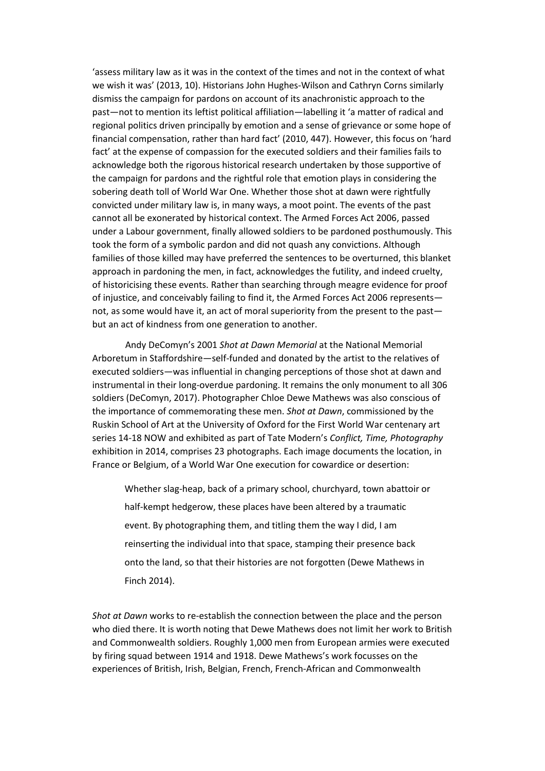'assess military law as it was in the context of the times and not in the context of what we wish it was' (2013, 10). Historians John Hughes-Wilson and Cathryn Corns similarly dismiss the campaign for pardons on account of its anachronistic approach to the past—not to mention its leftist political affiliation—labelling it 'a matter of radical and regional politics driven principally by emotion and a sense of grievance or some hope of financial compensation, rather than hard fact' (2010, 447). However, this focus on 'hard fact' at the expense of compassion for the executed soldiers and their families fails to acknowledge both the rigorous historical research undertaken by those supportive of the campaign for pardons and the rightful role that emotion plays in considering the sobering death toll of World War One. Whether those shot at dawn were rightfully convicted under military law is, in many ways, a moot point. The events of the past cannot all be exonerated by historical context. The Armed Forces Act 2006, passed under a Labour government, finally allowed soldiers to be pardoned posthumously. This took the form of a symbolic pardon and did not quash any convictions. Although families of those killed may have preferred the sentences to be overturned, this blanket approach in pardoning the men, in fact, acknowledges the futility, and indeed cruelty, of historicising these events. Rather than searching through meagre evidence for proof of injustice, and conceivably failing to find it, the Armed Forces Act 2006 represents not, as some would have it, an act of moral superiority from the present to the past but an act of kindness from one generation to another.

Andy DeComyn's 2001 *Shot at Dawn Memorial* at the National Memorial Arboretum in Staffordshire—self-funded and donated by the artist to the relatives of executed soldiers—was influential in changing perceptions of those shot at dawn and instrumental in their long-overdue pardoning. It remains the only monument to all 306 soldiers (DeComyn, 2017). Photographer Chloe Dewe Mathews was also conscious of the importance of commemorating these men. *Shot at Dawn*, commissioned by the Ruskin School of Art at the University of Oxford for the First World War centenary art series 14-18 NOW and exhibited as part of Tate Modern's *Conflict, Time, Photography*  exhibition in 2014, comprises 23 photographs. Each image documents the location, in France or Belgium, of a World War One execution for cowardice or desertion:

Whether slag-heap, back of a primary school, churchyard, town abattoir or half-kempt hedgerow, these places have been altered by a traumatic event. By photographing them, and titling them the way I did, I am reinserting the individual into that space, stamping their presence back onto the land, so that their histories are not forgotten (Dewe Mathews in Finch 2014).

*Shot at Dawn* works to re-establish the connection between the place and the person who died there. It is worth noting that Dewe Mathews does not limit her work to British and Commonwealth soldiers. Roughly 1,000 men from European armies were executed by firing squad between 1914 and 1918. Dewe Mathews's work focusses on the experiences of British, Irish, Belgian, French, French-African and Commonwealth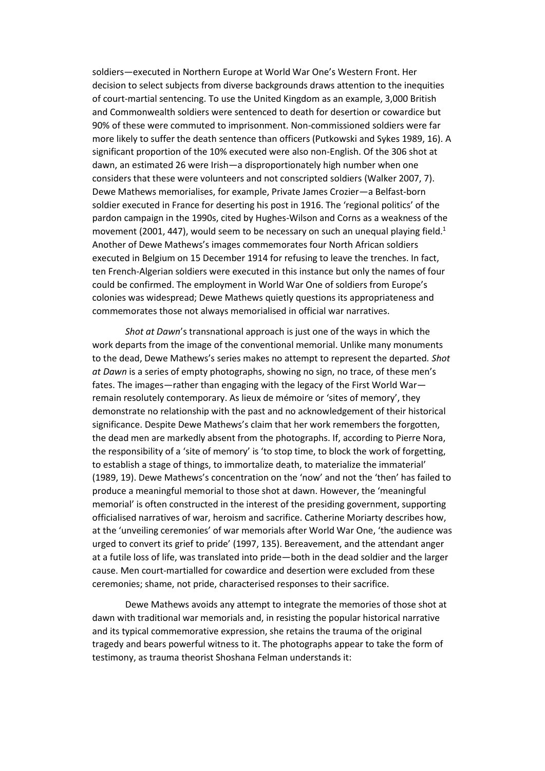soldiers—executed in Northern Europe at World War One's Western Front. Her decision to select subjects from diverse backgrounds draws attention to the inequities of court-martial sentencing. To use the United Kingdom as an example, 3,000 British and Commonwealth soldiers were sentenced to death for desertion or cowardice but 90% of these were commuted to imprisonment. Non-commissioned soldiers were far more likely to suffer the death sentence than officers (Putkowski and Sykes 1989, 16). A significant proportion of the 10% executed were also non-English. Of the 306 shot at dawn, an estimated 26 were Irish—a disproportionately high number when one considers that these were volunteers and not conscripted soldiers (Walker 2007, 7). Dewe Mathews memorialises, for example, Private James Crozier—a Belfast-born soldier executed in France for deserting his post in 1916. The 'regional politics' of the pardon campaign in the 1990s, cited by Hughes-Wilson and Corns as a weakness of the movement (2001, 447), would seem to be necessary on such an unequal playing field.<sup>1</sup> Another of Dewe Mathews's images commemorates four North African soldiers executed in Belgium on 15 December 1914 for refusing to leave the trenches. In fact, ten French-Algerian soldiers were executed in this instance but only the names of four could be confirmed. The employment in World War One of soldiers from Europe's colonies was widespread; Dewe Mathews quietly questions its appropriateness and commemorates those not always memorialised in official war narratives.

*Shot at Dawn*'s transnational approach is just one of the ways in which the work departs from the image of the conventional memorial. Unlike many monuments to the dead, Dewe Mathews's series makes no attempt to represent the departed*. Shot at Dawn* is a series of empty photographs, showing no sign, no trace, of these men's fates. The images—rather than engaging with the legacy of the First World War remain resolutely contemporary. As lieux de mémoire or 'sites of memory', they demonstrate no relationship with the past and no acknowledgement of their historical significance. Despite Dewe Mathews's claim that her work remembers the forgotten, the dead men are markedly absent from the photographs. If, according to Pierre Nora, the responsibility of a 'site of memory' is 'to stop time, to block the work of forgetting, to establish a stage of things, to immortalize death, to materialize the immaterial' (1989, 19). Dewe Mathews's concentration on the 'now' and not the 'then' has failed to produce a meaningful memorial to those shot at dawn. However, the 'meaningful memorial' is often constructed in the interest of the presiding government, supporting officialised narratives of war, heroism and sacrifice. Catherine Moriarty describes how, at the 'unveiling ceremonies' of war memorials after World War One, 'the audience was urged to convert its grief to pride' (1997, 135). Bereavement, and the attendant anger at a futile loss of life, was translated into pride—both in the dead soldier and the larger cause. Men court-martialled for cowardice and desertion were excluded from these ceremonies; shame, not pride, characterised responses to their sacrifice.

Dewe Mathews avoids any attempt to integrate the memories of those shot at dawn with traditional war memorials and, in resisting the popular historical narrative and its typical commemorative expression, she retains the trauma of the original tragedy and bears powerful witness to it. The photographs appear to take the form of testimony, as trauma theorist Shoshana Felman understands it: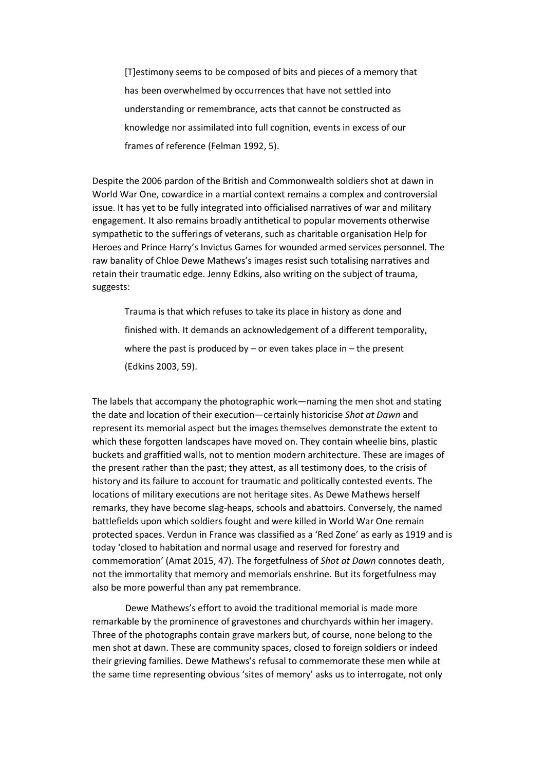[T]estimony seems to be composed of bits and pieces of a memory that has been overwhelmed by occurrences that have not settled into understanding or remembrance, acts that cannot be constructed as knowledge nor assimilated into full cognition, events in excess of our frames of reference (Felman 1992, 5).

Despite the 2006 pardon of the British and Commonwealth soldiers shot at dawn in World War One, cowardice in a martial context remains a complex and controversial issue. It has yet to be fully integrated into officialised narratives of war and military engagement. It also remains broadly antithetical to popular movements otherwise sympathetic to the sufferings of veterans, such as charitable organisation Help for Heroes and Prince Harry's Invictus Games for wounded armed services personnel. The raw banality of Chloe Dewe Mathews's images resist such totalising narratives and retain their traumatic edge. Jenny Edkins, also writing on the subject of trauma, suggests:

Trauma is that which refuses to take its place in history as done and finished with. It demands an acknowledgement of a different temporality, where the past is produced by – or even takes place in – the present (Edkins 2003, 59).

The labels that accompany the photographic work—naming the men shot and stating the date and location of their execution—certainly historicise *Shot at Dawn* and represent its memorial aspect but the images themselves demonstrate the extent to which these forgotten landscapes have moved on. They contain wheelie bins, plastic buckets and graffitied walls, not to mention modern architecture. These are images of the present rather than the past; they attest, as all testimony does, to the crisis of history and its failure to account for traumatic and politically contested events. The locations of military executions are not heritage sites. As Dewe Mathews herself remarks, they have become slag-heaps, schools and abattoirs. Conversely, the named battlefields upon which soldiers fought and were killed in World War One remain protected spaces. Verdun in France was classified as a 'Red Zone' as early as 1919 and is today 'closed to habitation and normal usage and reserved for forestry and commemoration' (Amat 2015, 47). The forgetfulness of *Shot at Dawn* connotes death, not the immortality that memory and memorials enshrine. But its forgetfulness may also be more powerful than any pat remembrance.

Dewe Mathews's effort to avoid the traditional memorial is made more remarkable by the prominence of gravestones and churchyards within her imagery. Three of the photographs contain grave markers but, of course, none belong to the men shot at dawn. These are community spaces, closed to foreign soldiers or indeed their grieving families. Dewe Mathews's refusal to commemorate these men while at the same time representing obvious 'sites of memory' asks us to interrogate, not only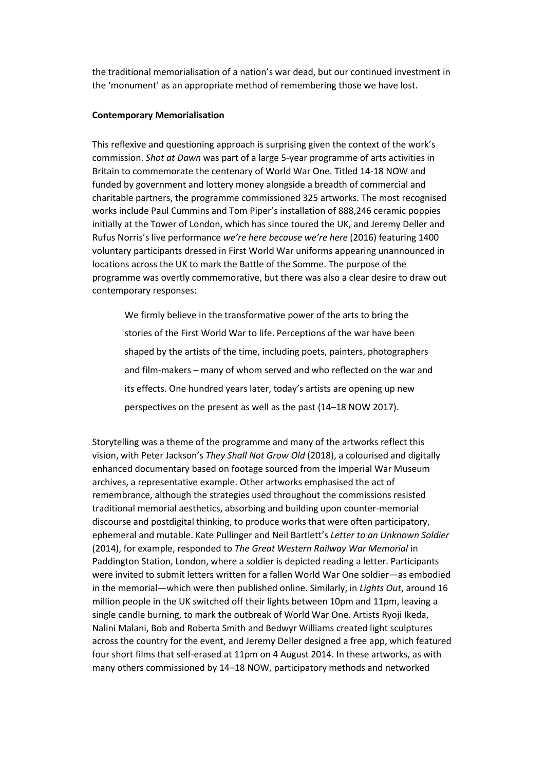the traditional memorialisation of a nation's war dead, but our continued investment in the 'monument' as an appropriate method of remembering those we have lost.

#### **Contemporary Memorialisation**

This reflexive and questioning approach is surprising given the context of the work's commission. *Shot at Dawn* was part of a large 5-year programme of arts activities in Britain to commemorate the centenary of World War One. Titled 14-18 NOW and funded by government and lottery money alongside a breadth of commercial and charitable partners, the programme commissioned 325 artworks. The most recognised works include Paul Cummins and Tom Piper's installation of 888,246 ceramic poppies initially at the Tower of London, which has since toured the UK, and Jeremy Deller and Rufus Norris's live performance *we're here because we're here* (2016) featuring 1400 voluntary participants dressed in First World War uniforms appearing unannounced in locations across the UK to mark the Battle of the Somme. The purpose of the programme was overtly commemorative, but there was also a clear desire to draw out contemporary responses:

We firmly believe in the transformative power of the arts to bring the stories of the First World War to life. Perceptions of the war have been shaped by the artists of the time, including poets, painters, photographers and film-makers – many of whom served and who reflected on the war and its effects. One hundred years later, today's artists are opening up new perspectives on the present as well as the past (14–18 NOW 2017).

Storytelling was a theme of the programme and many of the artworks reflect this vision, with Peter Jackson's *They Shall Not Grow Old* (2018), a colourised and digitally enhanced documentary based on footage sourced from the Imperial War Museum archives, a representative example. Other artworks emphasised the act of remembrance, although the strategies used throughout the commissions resisted traditional memorial aesthetics, absorbing and building upon counter-memorial discourse and postdigital thinking, to produce works that were often participatory, ephemeral and mutable. Kate Pullinger and Neil Bartlett's *Letter to an Unknown Soldier* (2014), for example, responded to *The Great Western Railway War Memorial* in Paddington Station, London, where a soldier is depicted reading a letter. Participants were invited to submit letters written for a fallen World War One soldier—as embodied in the memorial—which were then published online. Similarly, in *Lights Out*, around 16 million people in the UK switched off their lights between 10pm and 11pm, leaving a single candle burning, to mark the outbreak of World War One. Artists Ryoji Ikeda, Nalini Malani, Bob and Roberta Smith and Bedwyr Williams created light sculptures across the country for the event, and Jeremy Deller designed a free app, which featured four short films that self-erased at 11pm on 4 August 2014. In these artworks, as with many others commissioned by 14–18 NOW, participatory methods and networked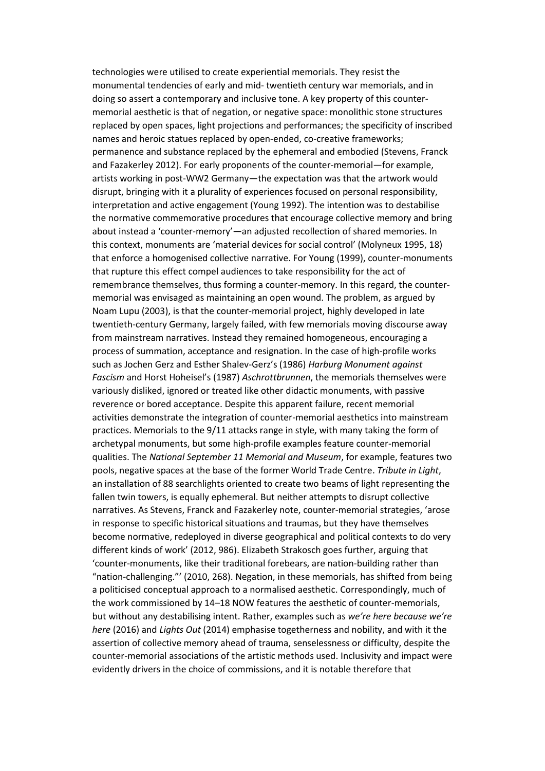technologies were utilised to create experiential memorials. They resist the monumental tendencies of early and mid- twentieth century war memorials, and in doing so assert a contemporary and inclusive tone. A key property of this countermemorial aesthetic is that of negation, or negative space: monolithic stone structures replaced by open spaces, light projections and performances; the specificity of inscribed names and heroic statues replaced by open-ended, co-creative frameworks; permanence and substance replaced by the ephemeral and embodied (Stevens, Franck and Fazakerley 2012). For early proponents of the counter-memorial—for example, artists working in post-WW2 Germany—the expectation was that the artwork would disrupt, bringing with it a plurality of experiences focused on personal responsibility, interpretation and active engagement (Young 1992). The intention was to destabilise the normative commemorative procedures that encourage collective memory and bring about instead a 'counter-memory'—an adjusted recollection of shared memories. In this context, monuments are 'material devices for social control' (Molyneux 1995, 18) that enforce a homogenised collective narrative. For Young (1999), counter-monuments that rupture this effect compel audiences to take responsibility for the act of remembrance themselves, thus forming a counter-memory. In this regard, the countermemorial was envisaged as maintaining an open wound. The problem, as argued by Noam Lupu (2003), is that the counter-memorial project, highly developed in late twentieth-century Germany, largely failed, with few memorials moving discourse away from mainstream narratives. Instead they remained homogeneous, encouraging a process of summation, acceptance and resignation. In the case of high-profile works such as Jochen Gerz and Esther Shalev-Gerz's (1986) *Harburg Monument against Fascism* and Horst Hoheisel's (1987) *Aschrottbrunnen*, the memorials themselves were variously disliked, ignored or treated like other didactic monuments, with passive reverence or bored acceptance. Despite this apparent failure, recent memorial activities demonstrate the integration of counter-memorial aesthetics into mainstream practices. Memorials to the 9/11 attacks range in style, with many taking the form of archetypal monuments, but some high-profile examples feature counter-memorial qualities. The *National September 11 Memorial and Museum*, for example, features two pools, negative spaces at the base of the former World Trade Centre. *Tribute in Light*, an installation of 88 searchlights oriented to create two beams of light representing the fallen twin towers, is equally ephemeral. But neither attempts to disrupt collective narratives. As Stevens, Franck and Fazakerley note, counter-memorial strategies, 'arose in response to specific historical situations and traumas, but they have themselves become normative, redeployed in diverse geographical and political contexts to do very different kinds of work' (2012, 986). Elizabeth Strakosch goes further, arguing that 'counter-monuments, like their traditional forebears, are nation-building rather than "nation-challenging."' (2010, 268). Negation, in these memorials, has shifted from being a politicised conceptual approach to a normalised aesthetic. Correspondingly, much of the work commissioned by 14–18 NOW features the aesthetic of counter-memorials, but without any destabilising intent. Rather, examples such as *we're here because we're here* (2016) and *Lights Out* (2014) emphasise togetherness and nobility, and with it the assertion of collective memory ahead of trauma, senselessness or difficulty, despite the counter-memorial associations of the artistic methods used. Inclusivity and impact were evidently drivers in the choice of commissions, and it is notable therefore that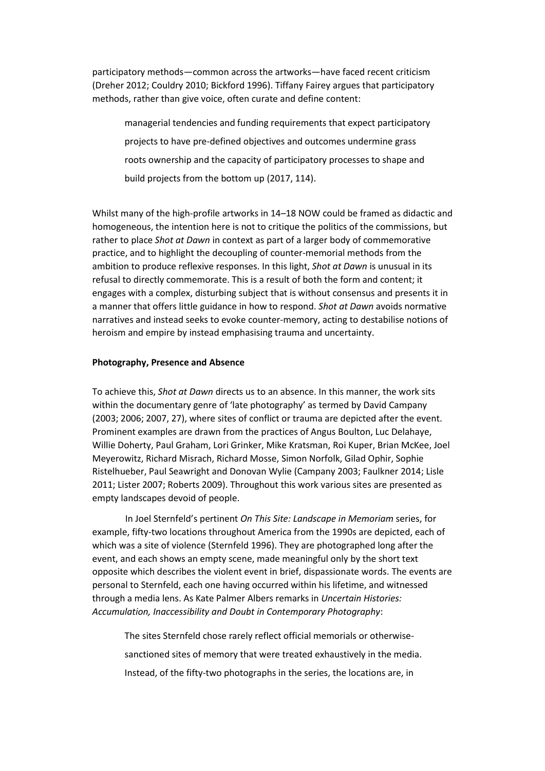participatory methods—common across the artworks—have faced recent criticism (Dreher 2012; Couldry 2010; Bickford 1996). Tiffany Fairey argues that participatory methods, rather than give voice, often curate and define content:

managerial tendencies and funding requirements that expect participatory projects to have pre-defined objectives and outcomes undermine grass roots ownership and the capacity of participatory processes to shape and build projects from the bottom up (2017, 114).

Whilst many of the high-profile artworks in 14–18 NOW could be framed as didactic and homogeneous, the intention here is not to critique the politics of the commissions, but rather to place *Shot at Dawn* in context as part of a larger body of commemorative practice, and to highlight the decoupling of counter-memorial methods from the ambition to produce reflexive responses. In this light, *Shot at Dawn* is unusual in its refusal to directly commemorate. This is a result of both the form and content; it engages with a complex, disturbing subject that is without consensus and presents it in a manner that offers little guidance in how to respond. *Shot at Dawn* avoids normative narratives and instead seeks to evoke counter-memory, acting to destabilise notions of heroism and empire by instead emphasising trauma and uncertainty.

### **Photography, Presence and Absence**

To achieve this, *Shot at Dawn* directs us to an absence. In this manner, the work sits within the documentary genre of 'late photography' as termed by David Campany (2003; 2006; 2007, 27), where sites of conflict or trauma are depicted after the event. Prominent examples are drawn from the practices of Angus Boulton, Luc Delahaye, Willie Doherty, Paul Graham, Lori Grinker, Mike Kratsman, Roi Kuper, Brian McKee, Joel Meyerowitz, Richard Misrach, Richard Mosse, Simon Norfolk, Gilad Ophir, Sophie Ristelhueber, Paul Seawright and Donovan Wylie (Campany 2003; Faulkner 2014; Lisle 2011; Lister 2007; Roberts 2009). Throughout this work various sites are presented as empty landscapes devoid of people.

In Joel Sternfeld's pertinent *On This Site: Landscape in Memoriam* series, for example, fifty-two locations throughout America from the 1990s are depicted, each of which was a site of violence (Sternfeld 1996). They are photographed long after the event, and each shows an empty scene, made meaningful only by the short text opposite which describes the violent event in brief, dispassionate words. The events are personal to Sternfeld, each one having occurred within his lifetime, and witnessed through a media lens. As Kate Palmer Albers remarks in *Uncertain Histories: Accumulation, Inaccessibility and Doubt in Contemporary Photography*:

The sites Sternfeld chose rarely reflect official memorials or otherwisesanctioned sites of memory that were treated exhaustively in the media. Instead, of the fifty-two photographs in the series, the locations are, in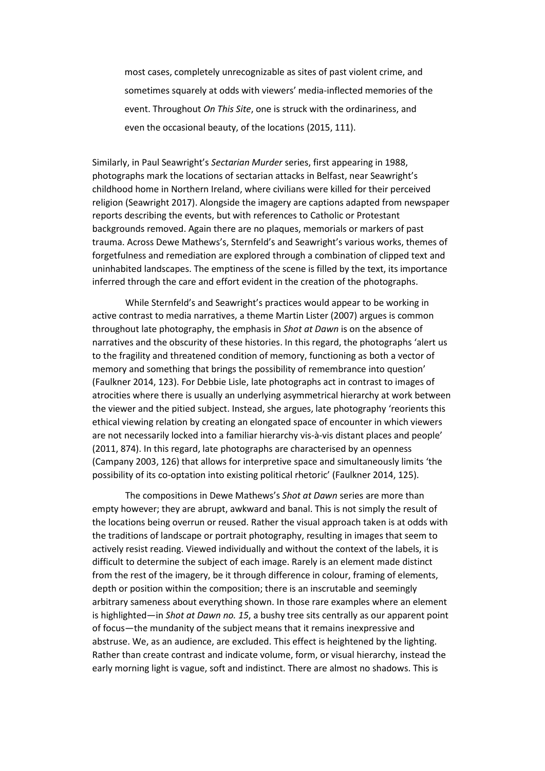most cases, completely unrecognizable as sites of past violent crime, and sometimes squarely at odds with viewers' media-inflected memories of the event. Throughout *On This Site*, one is struck with the ordinariness, and even the occasional beauty, of the locations (2015, 111).

Similarly, in Paul Seawright's *Sectarian Murder* series, first appearing in 1988, photographs mark the locations of sectarian attacks in Belfast, near Seawright's childhood home in Northern Ireland, where civilians were killed for their perceived religion (Seawright 2017). Alongside the imagery are captions adapted from newspaper reports describing the events, but with references to Catholic or Protestant backgrounds removed. Again there are no plaques, memorials or markers of past trauma. Across Dewe Mathews's, Sternfeld's and Seawright's various works, themes of forgetfulness and remediation are explored through a combination of clipped text and uninhabited landscapes. The emptiness of the scene is filled by the text, its importance inferred through the care and effort evident in the creation of the photographs.

While Sternfeld's and Seawright's practices would appear to be working in active contrast to media narratives, a theme Martin Lister (2007) argues is common throughout late photography, the emphasis in *Shot at Dawn* is on the absence of narratives and the obscurity of these histories. In this regard, the photographs 'alert us to the fragility and threatened condition of memory, functioning as both a vector of memory and something that brings the possibility of remembrance into question' (Faulkner 2014, 123). For Debbie Lisle, late photographs act in contrast to images of atrocities where there is usually an underlying asymmetrical hierarchy at work between the viewer and the pitied subject. Instead, she argues, late photography 'reorients this ethical viewing relation by creating an elongated space of encounter in which viewers are not necessarily locked into a familiar hierarchy vis-à-vis distant places and people' (2011, 874). In this regard, late photographs are characterised by an openness (Campany 2003, 126) that allows for interpretive space and simultaneously limits 'the possibility of its co-optation into existing political rhetoric' (Faulkner 2014, 125).

The compositions in Dewe Mathews's *Shot at Dawn* series are more than empty however; they are abrupt, awkward and banal. This is not simply the result of the locations being overrun or reused. Rather the visual approach taken is at odds with the traditions of landscape or portrait photography, resulting in images that seem to actively resist reading. Viewed individually and without the context of the labels, it is difficult to determine the subject of each image. Rarely is an element made distinct from the rest of the imagery, be it through difference in colour, framing of elements, depth or position within the composition; there is an inscrutable and seemingly arbitrary sameness about everything shown. In those rare examples where an element is highlighted—in *Shot at Dawn no. 15*, a bushy tree sits centrally as our apparent point of focus—the mundanity of the subject means that it remains inexpressive and abstruse. We, as an audience, are excluded. This effect is heightened by the lighting. Rather than create contrast and indicate volume, form, or visual hierarchy, instead the early morning light is vague, soft and indistinct. There are almost no shadows. This is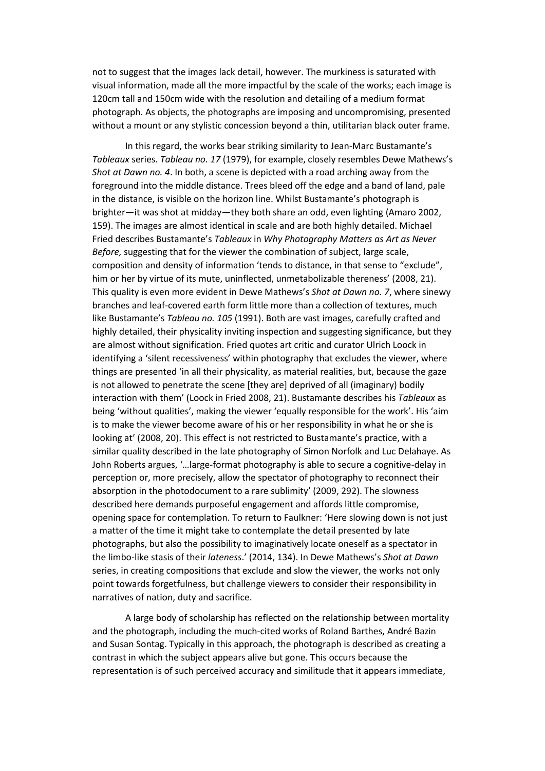not to suggest that the images lack detail, however. The murkiness is saturated with visual information, made all the more impactful by the scale of the works; each image is 120cm tall and 150cm wide with the resolution and detailing of a medium format photograph. As objects, the photographs are imposing and uncompromising, presented without a mount or any stylistic concession beyond a thin, utilitarian black outer frame.

In this regard, the works bear striking similarity to Jean-Marc Bustamante's *Tableaux* series. *Tableau no. 17* (1979), for example, closely resembles Dewe Mathews's *Shot at Dawn no. 4*. In both, a scene is depicted with a road arching away from the foreground into the middle distance. Trees bleed off the edge and a band of land, pale in the distance, is visible on the horizon line. Whilst Bustamante's photograph is brighter—it was shot at midday—they both share an odd, even lighting (Amaro 2002, 159). The images are almost identical in scale and are both highly detailed. Michael Fried describes Bustamante's *Tableaux* in *Why Photography Matters as Art as Never Before,* suggesting that for the viewer the combination of subject, large scale, composition and density of information 'tends to distance, in that sense to "exclude", him or her by virtue of its mute, uninflected, unmetabolizable thereness' (2008, 21). This quality is even more evident in Dewe Mathews's *Shot at Dawn no. 7*, where sinewy branches and leaf-covered earth form little more than a collection of textures, much like Bustamante's *Tableau no. 105* (1991). Both are vast images, carefully crafted and highly detailed, their physicality inviting inspection and suggesting significance, but they are almost without signification. Fried quotes art critic and curator Ulrich Loock in identifying a 'silent recessiveness' within photography that excludes the viewer, where things are presented 'in all their physicality, as material realities, but, because the gaze is not allowed to penetrate the scene [they are] deprived of all (imaginary) bodily interaction with them' (Loock in Fried 2008, 21). Bustamante describes his *Tableaux* as being 'without qualities', making the viewer 'equally responsible for the work'. His 'aim is to make the viewer become aware of his or her responsibility in what he or she is looking at' (2008, 20). This effect is not restricted to Bustamante's practice, with a similar quality described in the late photography of Simon Norfolk and Luc Delahaye. As John Roberts argues, '…large-format photography is able to secure a cognitive-delay in perception or, more precisely, allow the spectator of photography to reconnect their absorption in the photodocument to a rare sublimity' (2009, 292). The slowness described here demands purposeful engagement and affords little compromise, opening space for contemplation. To return to Faulkner: 'Here slowing down is not just a matter of the time it might take to contemplate the detail presented by late photographs, but also the possibility to imaginatively locate oneself as a spectator in the limbo-like stasis of their *lateness*.' (2014, 134). In Dewe Mathews's *Shot at Dawn* series, in creating compositions that exclude and slow the viewer, the works not only point towards forgetfulness, but challenge viewers to consider their responsibility in narratives of nation, duty and sacrifice.

A large body of scholarship has reflected on the relationship between mortality and the photograph, including the much-cited works of Roland Barthes, André Bazin and Susan Sontag. Typically in this approach, the photograph is described as creating a contrast in which the subject appears alive but gone. This occurs because the representation is of such perceived accuracy and similitude that it appears immediate,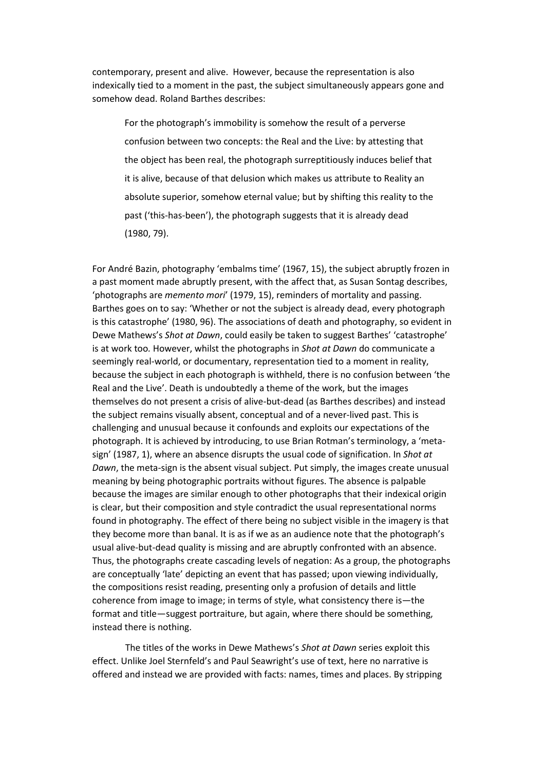contemporary, present and alive. However, because the representation is also indexically tied to a moment in the past, the subject simultaneously appears gone and somehow dead. Roland Barthes describes:

For the photograph's immobility is somehow the result of a perverse confusion between two concepts: the Real and the Live: by attesting that the object has been real, the photograph surreptitiously induces belief that it is alive, because of that delusion which makes us attribute to Reality an absolute superior, somehow eternal value; but by shifting this reality to the past ('this-has-been'), the photograph suggests that it is already dead (1980, 79).

For André Bazin, photography 'embalms time' (1967, 15), the subject abruptly frozen in a past moment made abruptly present, with the affect that, as Susan Sontag describes, 'photographs are *memento mori*' (1979, 15), reminders of mortality and passing. Barthes goes on to say: 'Whether or not the subject is already dead, every photograph is this catastrophe' (1980, 96). The associations of death and photography, so evident in Dewe Mathews's *Shot at Dawn*, could easily be taken to suggest Barthes' 'catastrophe' is at work too*.* However, whilst the photographs in *Shot at Dawn* do communicate a seemingly real-world, or documentary, representation tied to a moment in reality, because the subject in each photograph is withheld, there is no confusion between 'the Real and the Live'. Death is undoubtedly a theme of the work, but the images themselves do not present a crisis of alive-but-dead (as Barthes describes) and instead the subject remains visually absent, conceptual and of a never-lived past. This is challenging and unusual because it confounds and exploits our expectations of the photograph. It is achieved by introducing, to use Brian Rotman's terminology, a 'metasign' (1987, 1), where an absence disrupts the usual code of signification. In *Shot at Dawn*, the meta-sign is the absent visual subject. Put simply, the images create unusual meaning by being photographic portraits without figures. The absence is palpable because the images are similar enough to other photographs that their indexical origin is clear, but their composition and style contradict the usual representational norms found in photography. The effect of there being no subject visible in the imagery is that they become more than banal. It is as if we as an audience note that the photograph's usual alive-but-dead quality is missing and are abruptly confronted with an absence. Thus, the photographs create cascading levels of negation: As a group, the photographs are conceptually 'late' depicting an event that has passed; upon viewing individually, the compositions resist reading, presenting only a profusion of details and little coherence from image to image; in terms of style, what consistency there is—the format and title—suggest portraiture, but again, where there should be something, instead there is nothing.

The titles of the works in Dewe Mathews's *Shot at Dawn* series exploit this effect. Unlike Joel Sternfeld's and Paul Seawright's use of text, here no narrative is offered and instead we are provided with facts: names, times and places. By stripping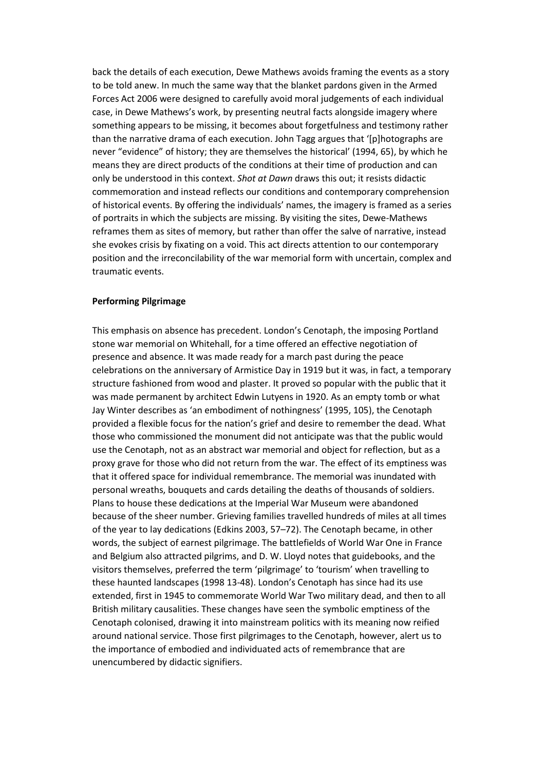back the details of each execution, Dewe Mathews avoids framing the events as a story to be told anew. In much the same way that the blanket pardons given in the Armed Forces Act 2006 were designed to carefully avoid moral judgements of each individual case, in Dewe Mathews's work, by presenting neutral facts alongside imagery where something appears to be missing, it becomes about forgetfulness and testimony rather than the narrative drama of each execution. John Tagg argues that '[p]hotographs are never "evidence" of history; they are themselves the historical' (1994, 65), by which he means they are direct products of the conditions at their time of production and can only be understood in this context. *Shot at Dawn* draws this out; it resists didactic commemoration and instead reflects our conditions and contemporary comprehension of historical events. By offering the individuals' names, the imagery is framed as a series of portraits in which the subjects are missing. By visiting the sites, Dewe-Mathews reframes them as sites of memory, but rather than offer the salve of narrative, instead she evokes crisis by fixating on a void. This act directs attention to our contemporary position and the irreconcilability of the war memorial form with uncertain, complex and traumatic events.

## **Performing Pilgrimage**

This emphasis on absence has precedent. London's Cenotaph, the imposing Portland stone war memorial on Whitehall, for a time offered an effective negotiation of presence and absence. It was made ready for a march past during the peace celebrations on the anniversary of Armistice Day in 1919 but it was, in fact, a temporary structure fashioned from wood and plaster. It proved so popular with the public that it was made permanent by architect Edwin Lutyens in 1920. As an empty tomb or what Jay Winter describes as 'an embodiment of nothingness' (1995, 105), the Cenotaph provided a flexible focus for the nation's grief and desire to remember the dead. What those who commissioned the monument did not anticipate was that the public would use the Cenotaph, not as an abstract war memorial and object for reflection, but as a proxy grave for those who did not return from the war. The effect of its emptiness was that it offered space for individual remembrance. The memorial was inundated with personal wreaths, bouquets and cards detailing the deaths of thousands of soldiers. Plans to house these dedications at the Imperial War Museum were abandoned because of the sheer number. Grieving families travelled hundreds of miles at all times of the year to lay dedications (Edkins 2003, 57–72). The Cenotaph became, in other words, the subject of earnest pilgrimage. The battlefields of World War One in France and Belgium also attracted pilgrims, and D. W. Lloyd notes that guidebooks, and the visitors themselves, preferred the term 'pilgrimage' to 'tourism' when travelling to these haunted landscapes (1998 13-48). London's Cenotaph has since had its use extended, first in 1945 to commemorate World War Two military dead, and then to all British military causalities. These changes have seen the symbolic emptiness of the Cenotaph colonised, drawing it into mainstream politics with its meaning now reified around national service. Those first pilgrimages to the Cenotaph, however, alert us to the importance of embodied and individuated acts of remembrance that are unencumbered by didactic signifiers.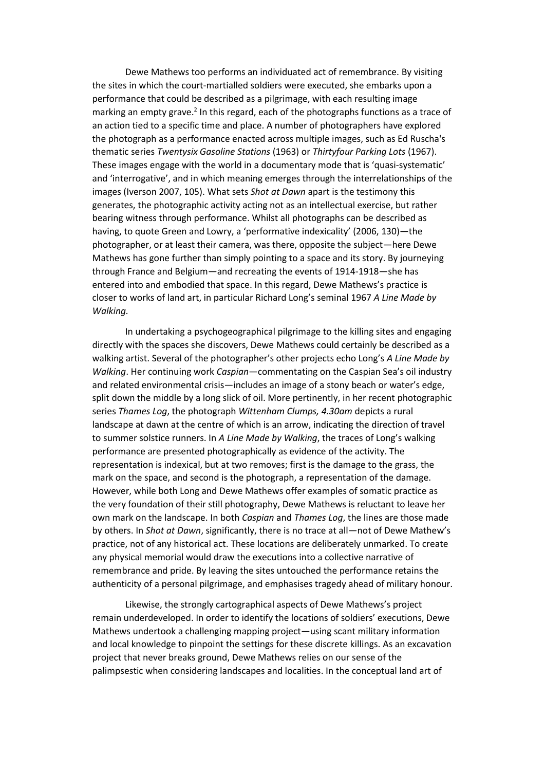Dewe Mathews too performs an individuated act of remembrance. By visiting the sites in which the court-martialled soldiers were executed, she embarks upon a performance that could be described as a pilgrimage, with each resulting image marking an empty grave.<sup>2</sup> In this regard, each of the photographs functions as a trace of an action tied to a specific time and place. A number of photographers have explored the photograph as a performance enacted across multiple images, such as Ed Ruscha's thematic series *Twentysix Gasoline Stations* (1963) or *Thirtyfour Parking Lots* (1967). These images engage with the world in a documentary mode that is 'quasi-systematic' and 'interrogative', and in which meaning emerges through the interrelationships of the images (Iverson 2007, 105). What sets *Shot at Dawn* apart is the testimony this generates, the photographic activity acting not as an intellectual exercise, but rather bearing witness through performance. Whilst all photographs can be described as having, to quote Green and Lowry, a 'performative indexicality' (2006, 130)—the photographer, or at least their camera, was there, opposite the subject—here Dewe Mathews has gone further than simply pointing to a space and its story. By journeying through France and Belgium—and recreating the events of 1914-1918—she has entered into and embodied that space. In this regard, Dewe Mathews's practice is closer to works of land art, in particular Richard Long's seminal 1967 *A Line Made by Walking.* 

In undertaking a psychogeographical pilgrimage to the killing sites and engaging directly with the spaces she discovers, Dewe Mathews could certainly be described as a walking artist. Several of the photographer's other projects echo Long's *A Line Made by Walking*. Her continuing work *Caspian*—commentating on the Caspian Sea's oil industry and related environmental crisis—includes an image of a stony beach or water's edge, split down the middle by a long slick of oil. More pertinently, in her recent photographic series *Thames Log*, the photograph *Wittenham Clumps, 4.30am* depicts a rural landscape at dawn at the centre of which is an arrow, indicating the direction of travel to summer solstice runners. In *A Line Made by Walking*, the traces of Long's walking performance are presented photographically as evidence of the activity. The representation is indexical, but at two removes; first is the damage to the grass, the mark on the space, and second is the photograph, a representation of the damage. However, while both Long and Dewe Mathews offer examples of somatic practice as the very foundation of their still photography, Dewe Mathews is reluctant to leave her own mark on the landscape. In both *Caspian* and *Thames Log*, the lines are those made by others. In *Shot at Dawn*, significantly, there is no trace at all—not of Dewe Mathew's practice, not of any historical act. These locations are deliberately unmarked. To create any physical memorial would draw the executions into a collective narrative of remembrance and pride. By leaving the sites untouched the performance retains the authenticity of a personal pilgrimage, and emphasises tragedy ahead of military honour.

Likewise, the strongly cartographical aspects of Dewe Mathews's project remain underdeveloped. In order to identify the locations of soldiers' executions, Dewe Mathews undertook a challenging mapping project—using scant military information and local knowledge to pinpoint the settings for these discrete killings. As an excavation project that never breaks ground, Dewe Mathews relies on our sense of the palimpsestic when considering landscapes and localities. In the conceptual land art of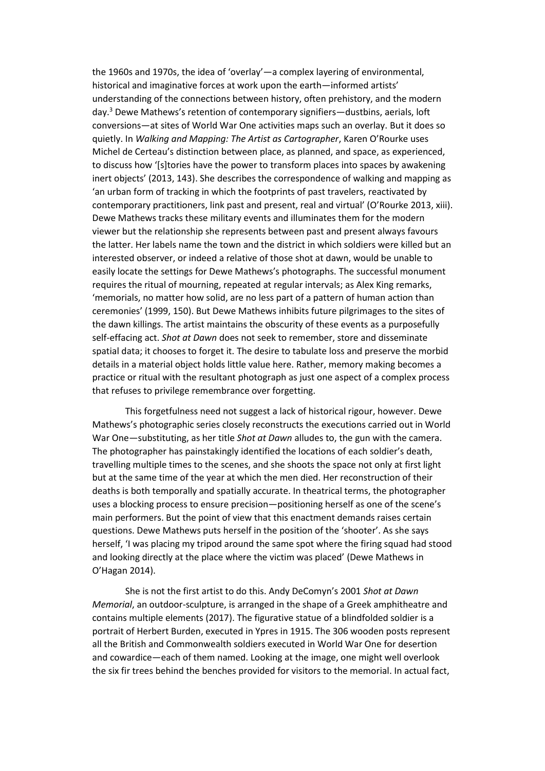the 1960s and 1970s, the idea of 'overlay'—a complex layering of environmental, historical and imaginative forces at work upon the earth—informed artists' understanding of the connections between history, often prehistory, and the modern day.<sup>3</sup> Dewe Mathews's retention of contemporary signifiers—dustbins, aerials, loft conversions—at sites of World War One activities maps such an overlay. But it does so quietly. In *Walking and Mapping: The Artist as Cartographer*, Karen O'Rourke uses Michel de Certeau's distinction between place, as planned, and space, as experienced, to discuss how '[s]tories have the power to transform places into spaces by awakening inert objects' (2013, 143). She describes the correspondence of walking and mapping as 'an urban form of tracking in which the footprints of past travelers, reactivated by contemporary practitioners, link past and present, real and virtual' (O'Rourke 2013, xiii). Dewe Mathews tracks these military events and illuminates them for the modern viewer but the relationship she represents between past and present always favours the latter. Her labels name the town and the district in which soldiers were killed but an interested observer, or indeed a relative of those shot at dawn, would be unable to easily locate the settings for Dewe Mathews's photographs. The successful monument requires the ritual of mourning, repeated at regular intervals; as Alex King remarks, 'memorials, no matter how solid, are no less part of a pattern of human action than ceremonies' (1999, 150). But Dewe Mathews inhibits future pilgrimages to the sites of the dawn killings. The artist maintains the obscurity of these events as a purposefully self-effacing act. *Shot at Dawn* does not seek to remember, store and disseminate spatial data; it chooses to forget it. The desire to tabulate loss and preserve the morbid details in a material object holds little value here. Rather, memory making becomes a practice or ritual with the resultant photograph as just one aspect of a complex process that refuses to privilege remembrance over forgetting.

This forgetfulness need not suggest a lack of historical rigour, however. Dewe Mathews's photographic series closely reconstructs the executions carried out in World War One—substituting, as her title *Shot at Dawn* alludes to, the gun with the camera. The photographer has painstakingly identified the locations of each soldier's death, travelling multiple times to the scenes, and she shoots the space not only at first light but at the same time of the year at which the men died. Her reconstruction of their deaths is both temporally and spatially accurate. In theatrical terms, the photographer uses a blocking process to ensure precision—positioning herself as one of the scene's main performers. But the point of view that this enactment demands raises certain questions. Dewe Mathews puts herself in the position of the 'shooter'. As she says herself, 'I was placing my tripod around the same spot where the firing squad had stood and looking directly at the place where the victim was placed' (Dewe Mathews in O'Hagan 2014).

She is not the first artist to do this. Andy DeComyn's 2001 *Shot at Dawn Memorial*, an outdoor-sculpture, is arranged in the shape of a Greek amphitheatre and contains multiple elements (2017). The figurative statue of a blindfolded soldier is a portrait of Herbert Burden, executed in Ypres in 1915. The 306 wooden posts represent all the British and Commonwealth soldiers executed in World War One for desertion and cowardice—each of them named. Looking at the image, one might well overlook the six fir trees behind the benches provided for visitors to the memorial. In actual fact,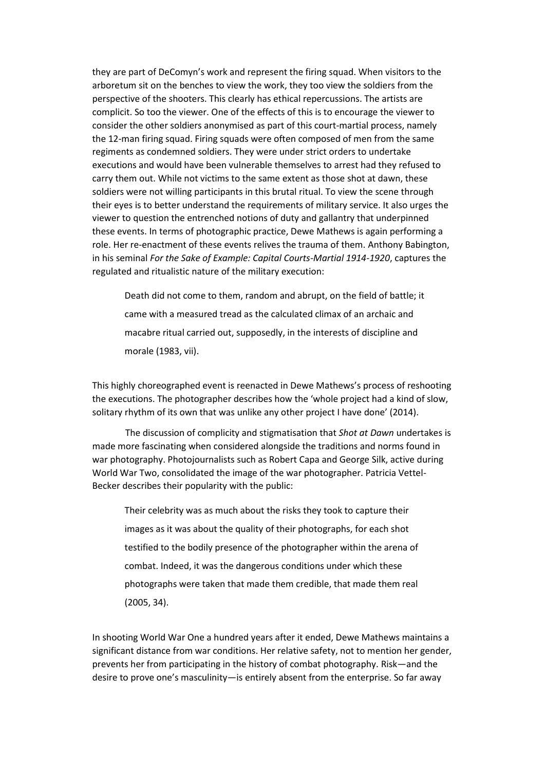they are part of DeComyn's work and represent the firing squad. When visitors to the arboretum sit on the benches to view the work, they too view the soldiers from the perspective of the shooters. This clearly has ethical repercussions. The artists are complicit. So too the viewer. One of the effects of this is to encourage the viewer to consider the other soldiers anonymised as part of this court-martial process, namely the 12-man firing squad. Firing squads were often composed of men from the same regiments as condemned soldiers. They were under strict orders to undertake executions and would have been vulnerable themselves to arrest had they refused to carry them out. While not victims to the same extent as those shot at dawn, these soldiers were not willing participants in this brutal ritual. To view the scene through their eyes is to better understand the requirements of military service. It also urges the viewer to question the entrenched notions of duty and gallantry that underpinned these events. In terms of photographic practice, Dewe Mathews is again performing a role. Her re-enactment of these events relives the trauma of them. Anthony Babington, in his seminal *For the Sake of Example: Capital Courts-Martial 1914-1920*, captures the regulated and ritualistic nature of the military execution:

Death did not come to them, random and abrupt, on the field of battle; it came with a measured tread as the calculated climax of an archaic and macabre ritual carried out, supposedly, in the interests of discipline and morale (1983, vii).

This highly choreographed event is reenacted in Dewe Mathews's process of reshooting the executions. The photographer describes how the 'whole project had a kind of slow, solitary rhythm of its own that was unlike any other project I have done' (2014).

The discussion of complicity and stigmatisation that *Shot at Dawn* undertakes is made more fascinating when considered alongside the traditions and norms found in war photography. Photojournalists such as Robert Capa and George Silk, active during World War Two, consolidated the image of the war photographer. Patricia Vettel-Becker describes their popularity with the public:

Their celebrity was as much about the risks they took to capture their images as it was about the quality of their photographs, for each shot testified to the bodily presence of the photographer within the arena of combat. Indeed, it was the dangerous conditions under which these photographs were taken that made them credible, that made them real (2005, 34).

In shooting World War One a hundred years after it ended, Dewe Mathews maintains a significant distance from war conditions. Her relative safety, not to mention her gender, prevents her from participating in the history of combat photography. Risk—and the desire to prove one's masculinity—is entirely absent from the enterprise. So far away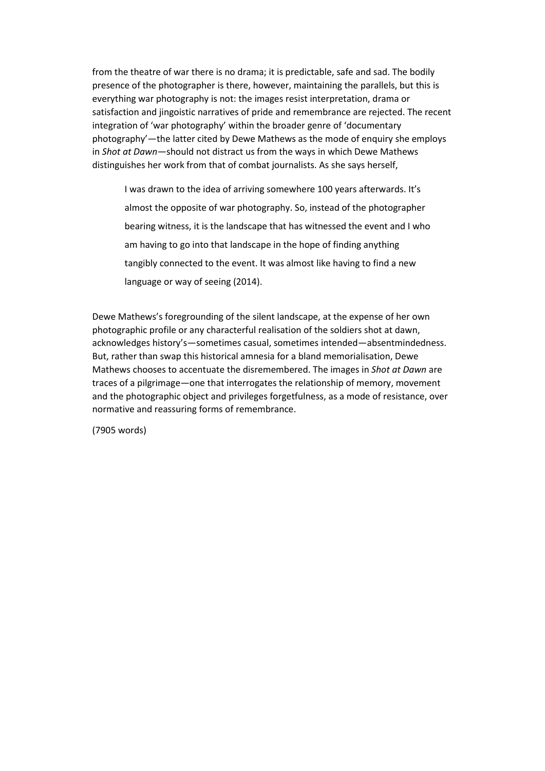from the theatre of war there is no drama; it is predictable, safe and sad. The bodily presence of the photographer is there, however, maintaining the parallels, but this is everything war photography is not: the images resist interpretation, drama or satisfaction and jingoistic narratives of pride and remembrance are rejected. The recent integration of 'war photography' within the broader genre of 'documentary photography'—the latter cited by Dewe Mathews as the mode of enquiry she employs in *Shot at Dawn—*should not distract us from the ways in which Dewe Mathews distinguishes her work from that of combat journalists. As she says herself,

I was drawn to the idea of arriving somewhere 100 years afterwards. It's almost the opposite of war photography. So, instead of the photographer bearing witness, it is the landscape that has witnessed the event and I who am having to go into that landscape in the hope of finding anything tangibly connected to the event. It was almost like having to find a new language or way of seeing (2014).

Dewe Mathews's foregrounding of the silent landscape, at the expense of her own photographic profile or any characterful realisation of the soldiers shot at dawn, acknowledges history's—sometimes casual, sometimes intended—absentmindedness. But, rather than swap this historical amnesia for a bland memorialisation, Dewe Mathews chooses to accentuate the disremembered. The images in *Shot at Dawn* are traces of a pilgrimage—one that interrogates the relationship of memory, movement and the photographic object and privileges forgetfulness, as a mode of resistance, over normative and reassuring forms of remembrance.

(7905 words)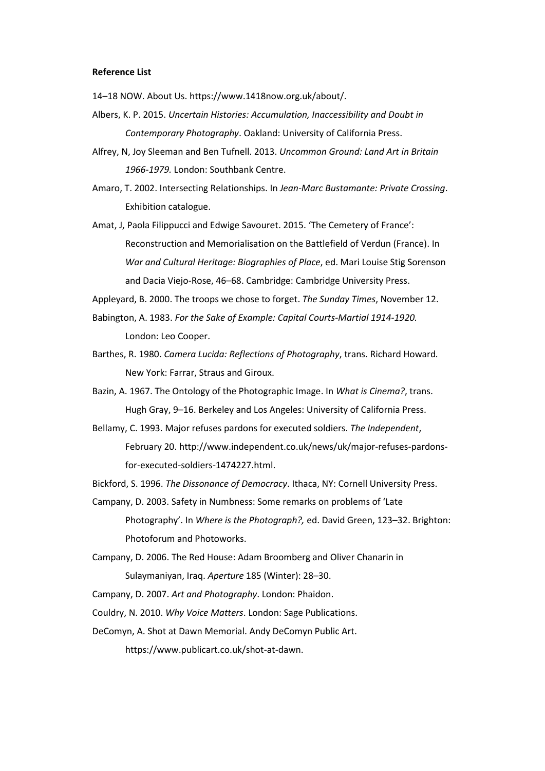#### **Reference List**

14–18 NOW. About Us. https://www.1418now.org.uk/about/.

- Albers, K. P. 2015. *Uncertain Histories: Accumulation, Inaccessibility and Doubt in Contemporary Photography*. Oakland: University of California Press.
- Alfrey, N, Joy Sleeman and Ben Tufnell. 2013. *Uncommon Ground: Land Art in Britain 1966-1979.* London: Southbank Centre.
- Amaro, T. 2002. Intersecting Relationships. In *Jean-Marc Bustamante: Private Crossing*. Exhibition catalogue.
- Amat, J, Paola Filippucci and Edwige Savouret. 2015. 'The Cemetery of France': Reconstruction and Memorialisation on the Battlefield of Verdun (France). In *War and Cultural Heritage: Biographies of Place*, ed. Mari Louise Stig Sorenson and Dacia Viejo-Rose, 46–68. Cambridge: Cambridge University Press.
- Appleyard, B. 2000. The troops we chose to forget. *The Sunday Times*, November 12.
- Babington, A. 1983. *For the Sake of Example: Capital Courts-Martial 1914-1920.* London: Leo Cooper.
- Barthes, R. 1980. *Camera Lucida: Reflections of Photography*, trans. Richard Howard*.*  New York: Farrar, Straus and Giroux.
- Bazin, A. 1967. The Ontology of the Photographic Image. In *What is Cinema?*, trans. Hugh Gray, 9–16. Berkeley and Los Angeles: University of California Press.
- Bellamy, C. 1993. Major refuses pardons for executed soldiers. *The Independent*, February 20. http://www.independent.co.uk/news/uk/major-refuses-pardonsfor-executed-soldiers-1474227.html.
- Bickford, S. 1996. *The Dissonance of Democracy*. Ithaca, NY: Cornell University Press.
- Campany, D. 2003. Safety in Numbness: Some remarks on problems of 'Late Photography'. In *Where is the Photograph?,* ed. David Green, 123–32. Brighton: Photoforum and Photoworks.
- Campany, D. 2006. The Red House: Adam Broomberg and Oliver Chanarin in Sulaymaniyan, Iraq. *Aperture* 185 (Winter): 28–30.
- Campany, D. 2007. *Art and Photography*. London: Phaidon.
- Couldry, N. 2010. *Why Voice Matters*. London: Sage Publications.
- DeComyn, A. Shot at Dawn Memorial. Andy DeComyn Public Art.

https://www.publicart.co.uk/shot-at-dawn.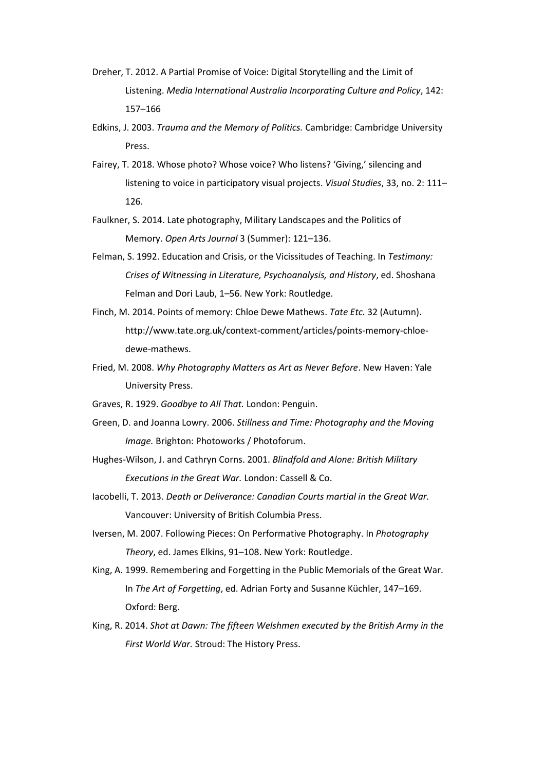- Dreher, T. 2012. A Partial Promise of Voice: Digital Storytelling and the Limit of Listening. *Media International Australia Incorporating Culture and Policy*, 142: 157–166
- Edkins, J. 2003. *Trauma and the Memory of Politics.* Cambridge: Cambridge University Press.
- Fairey, T. 2018. Whose photo? Whose voice? Who listens? 'Giving,' silencing and listening to voice in participatory visual projects. *Visual Studies*, 33, no. 2: 111– 126.
- Faulkner, S. 2014. Late photography, Military Landscapes and the Politics of Memory. *Open Arts Journal* 3 (Summer): 121–136.
- Felman, S. 1992. Education and Crisis, or the Vicissitudes of Teaching. In *Testimony: Crises of Witnessing in Literature, Psychoanalysis, and History*, ed. Shoshana Felman and Dori Laub, 1–56. New York: Routledge.
- Finch, M. 2014. Points of memory: Chloe Dewe Mathews. *Tate Etc.* 32 (Autumn). http://www.tate.org.uk/context-comment/articles/points-memory-chloedewe-mathews.
- Fried, M. 2008. *Why Photography Matters as Art as Never Before*. New Haven: Yale University Press.
- Graves, R. 1929. *Goodbye to All That.* London: Penguin.
- Green, D. and Joanna Lowry. 2006. *Stillness and Time: Photography and the Moving Image.* Brighton: Photoworks / Photoforum.
- Hughes-Wilson, J. and Cathryn Corns. 2001. *Blindfold and Alone: British Military Executions in the Great War.* London: Cassell & Co.
- Iacobelli, T. 2013. *Death or Deliverance: Canadian Courts martial in the Great War.*  Vancouver: University of British Columbia Press.
- Iversen, M. 2007. Following Pieces: On Performative Photography. In *Photography Theory*, ed. James Elkins, 91–108. New York: Routledge.
- King, A. 1999. Remembering and Forgetting in the Public Memorials of the Great War. In *The Art of Forgetting*, ed. Adrian Forty and Susanne Küchler, 147–169. Oxford: Berg.
- King, R. 2014. *Shot at Dawn: The fifteen Welshmen executed by the British Army in the First World War.* Stroud: The History Press.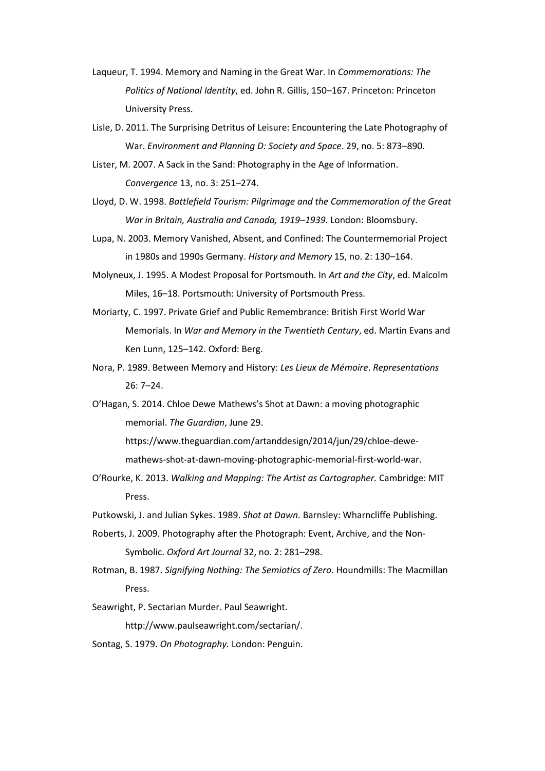- Laqueur, T. 1994. Memory and Naming in the Great War. In *Commemorations: The Politics of National Identity*, ed. John R. Gillis, 150–167. Princeton: Princeton University Press.
- Lisle, D. 2011. The Surprising Detritus of Leisure: Encountering the Late Photography of War. *Environment and Planning D: Society and Space*. 29, no. 5: 873–890.
- Lister, M. 2007. A Sack in the Sand: Photography in the Age of Information. *Convergence* 13, no. 3: 251–274.
- Lloyd, D. W. 1998. *Battlefield Tourism: Pilgrimage and the Commemoration of the Great War in Britain, Australia and Canada, 1919–1939.* London: Bloomsbury.
- Lupa, N. 2003. Memory Vanished, Absent, and Confined: The Countermemorial Project in 1980s and 1990s Germany. *History and Memory* 15, no. 2: 130–164.
- Molyneux, J. 1995. A Modest Proposal for Portsmouth. In *Art and the City*, ed. Malcolm Miles, 16–18. Portsmouth: University of Portsmouth Press.
- Moriarty, C. 1997. Private Grief and Public Remembrance: British First World War Memorials. In *War and Memory in the Twentieth Century*, ed. Martin Evans and Ken Lunn, 125–142. Oxford: Berg.
- Nora, P. 1989. Between Memory and History: *Les Lieux de Mémoire*. *Representations*  26: 7–24.
- O'Hagan, S. 2014. Chloe Dewe Mathews's Shot at Dawn: a moving photographic memorial. *The Guardian*, June 29.

https://www.theguardian.com/artanddesign/2014/jun/29/chloe-dewemathews-shot-at-dawn-moving-photographic-memorial-first-world-war.

O'Rourke, K. 2013. *Walking and Mapping: The Artist as Cartographer.* Cambridge: MIT Press.

Putkowski, J. and Julian Sykes. 1989. *Shot at Dawn.* Barnsley: Wharncliffe Publishing.

- Roberts, J. 2009. Photography after the Photograph: Event, Archive, and the Non-Symbolic. *Oxford Art Journal* 32, no. 2: 281–298.
- Rotman, B. 1987. *Signifying Nothing: The Semiotics of Zero.* Houndmills: The Macmillan Press.
- Seawright, P. Sectarian Murder. Paul Seawright.

http://www.paulseawright.com/sectarian/.

Sontag, S. 1979. *On Photography.* London: Penguin.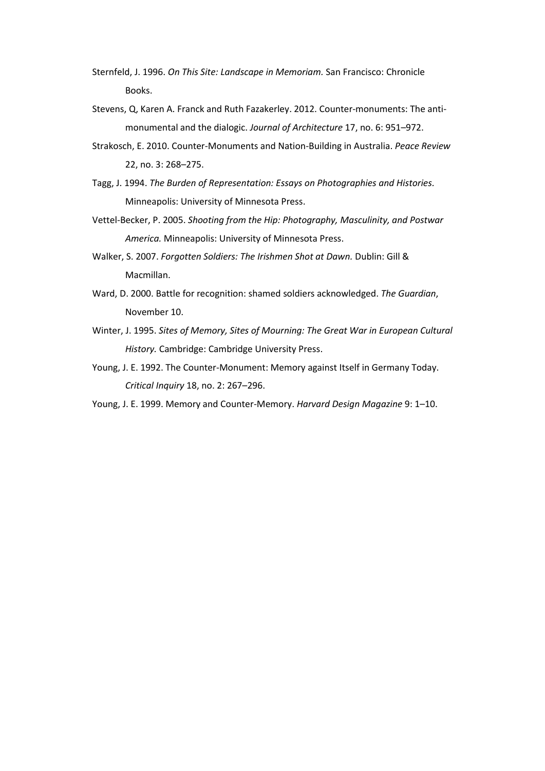- Sternfeld, J. 1996. *On This Site: Landscape in Memoriam.* San Francisco: Chronicle Books.
- Stevens, Q, Karen A. Franck and Ruth Fazakerley. 2012. Counter-monuments: The antimonumental and the dialogic. *Journal of Architecture* 17, no. 6: 951–972.
- Strakosch, E. 2010. Counter-Monuments and Nation-Building in Australia. *Peace Review* 22, no. 3: 268–275.
- Tagg, J. 1994. *The Burden of Representation: Essays on Photographies and Histories.*  Minneapolis: University of Minnesota Press.
- Vettel-Becker, P. 2005. *Shooting from the Hip: Photography, Masculinity, and Postwar America.* Minneapolis: University of Minnesota Press.
- Walker, S. 2007. *Forgotten Soldiers: The Irishmen Shot at Dawn.* Dublin: Gill & Macmillan.
- Ward, D. 2000. Battle for recognition: shamed soldiers acknowledged. *The Guardian*, November 10.
- Winter, J. 1995. *Sites of Memory, Sites of Mourning: The Great War in European Cultural History.* Cambridge: Cambridge University Press.
- Young, J. E. 1992. The Counter-Monument: Memory against Itself in Germany Today. *Critical Inquiry* 18, no. 2: 267–296.
- Young, J. E. 1999. Memory and Counter-Memory. *Harvard Design Magazine* 9: 1–10.